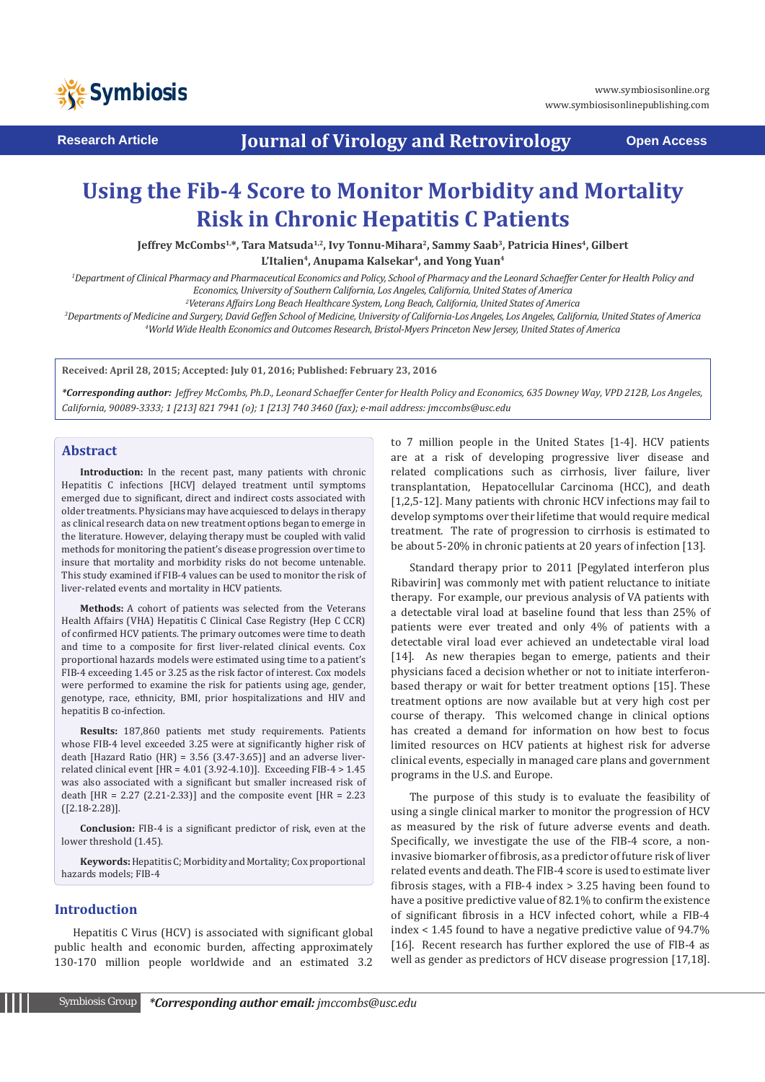

**Research Article <b>Conservery** Journal of Virology and Retrovirology **Coment Access** 

# **Using the Fib-4 Score to Monitor Morbidity and Mortality Risk in Chronic Hepatitis C Patients**

Jeffrey McCombs<sup>1,\*</sup>, Tara Matsuda<sup>1,2</sup>, Ivy Tonnu-Mihara<sup>2</sup>, Sammy Saab<sup>3</sup>, Patricia Hines<sup>4</sup>, Gilbert

L'Italien<sup>4</sup>, Anupama Kalsekar<sup>4</sup>, and Yong Yuan<sup>4</sup>

<sup>1</sup>Department of Clinical Pharmacy and Pharmaceutical Economics and Policy, School of Pharmacy and the Leonard Schaeffer Center for Health Policy and *Economics, University of Southern California, Los Angeles, California, United States of America*

*2 Veterans Affairs Long Beach Healthcare System, Long Beach, California, United States of America*

*3 Departments of Medicine and Surgery, David Geffen School of Medicine, University of California-Los Angeles, Los Angeles, California, United States of America 4 World Wide Health Economics and Outcomes Research, Bristol-Myers Princeton New Jersey, United States of America*

**Received: April 28, 2015; Accepted: July 01, 2016; Published: February 23, 2016**

*\*Corresponding author: Jeffrey McCombs, Ph.D., Leonard Schaeffer Center for Health Policy and Economics, 635 Downey Way, VPD 212B, Los Angeles, California, 90089-3333; 1 [213] 821 7941 (o); 1 [213] 740 3460 (fax); e-mail address: jmccombs@usc.edu*

## **Abstract**

**Introduction:** In the recent past, many patients with chronic Hepatitis C infections [HCV] delayed treatment until symptoms emerged due to significant, direct and indirect costs associated with older treatments. Physicians may have acquiesced to delays in therapy as clinical research data on new treatment options began to emerge in the literature. However, delaying therapy must be coupled with valid methods for monitoring the patient's disease progression over time to insure that mortality and morbidity risks do not become untenable. This study examined if FIB-4 values can be used to monitor the risk of liver-related events and mortality in HCV patients.

**Methods:** A cohort of patients was selected from the Veterans Health Affairs (VHA) Hepatitis C Clinical Case Registry (Hep C CCR) of confirmed HCV patients. The primary outcomes were time to death and time to a composite for first liver-related clinical events. Cox proportional hazards models were estimated using time to a patient's FIB-4 exceeding 1.45 or 3.25 as the risk factor of interest. Cox models were performed to examine the risk for patients using age, gender, genotype, race, ethnicity, BMI, prior hospitalizations and HIV and hepatitis B co-infection.

**Results:** 187,860 patients met study requirements. Patients whose FIB-4 level exceeded 3.25 were at significantly higher risk of death [Hazard Ratio (HR) =  $3.56$  (3.47-3.65)] and an adverse liverrelated clinical event [HR = 4.01 (3.92-4.10)]. Exceeding FIB-4 > 1.45 was also associated with a significant but smaller increased risk of death  $[HR = 2.27 (2.21-2.33)]$  and the composite event  $[HR = 2.23]$ ([2.18-2.28)].

**Conclusion:** FIB-4 is a significant predictor of risk, even at the lower threshold (1.45).

**Keywords:** Hepatitis C; Morbidity and Mortality; Cox proportional hazards models; FIB-4

# **Introduction**

Hepatitis C Virus (HCV) is associated with significant global public health and economic burden, affecting approximately 130-170 million people worldwide and an estimated 3.2 to 7 million people in the United States [1-4]. HCV patients are at a risk of developing progressive liver disease and related complications such as cirrhosis, liver failure, liver transplantation, Hepatocellular Carcinoma (HCC), and death [1,2,5-12]. Many patients with chronic HCV infections may fail to develop symptoms over their lifetime that would require medical treatment. The rate of progression to cirrhosis is estimated to be about 5-20% in chronic patients at 20 years of infection [13].

Standard therapy prior to 2011 [Pegylated interferon plus Ribavirin] was commonly met with patient reluctance to initiate therapy. For example, our previous analysis of VA patients with a detectable viral load at baseline found that less than 25% of patients were ever treated and only 4% of patients with a detectable viral load ever achieved an undetectable viral load [14]. As new therapies began to emerge, patients and their physicians faced a decision whether or not to initiate interferonbased therapy or wait for better treatment options [15]. These treatment options are now available but at very high cost per course of therapy. This welcomed change in clinical options has created a demand for information on how best to focus limited resources on HCV patients at highest risk for adverse clinical events, especially in managed care plans and government programs in the U.S. and Europe.

The purpose of this study is to evaluate the feasibility of using a single clinical marker to monitor the progression of HCV as measured by the risk of future adverse events and death. Specifically, we investigate the use of the FIB-4 score, a noninvasive biomarker of fibrosis, as a predictor of future risk of liver related events and death. The FIB-4 score is used to estimate liver fibrosis stages, with a FIB-4 index > 3.25 having been found to have a positive predictive value of 82.1% to confirm the existence of significant fibrosis in a HCV infected cohort, while a FIB-4 index < 1.45 found to have a negative predictive value of 94.7% [16]. Recent research has further explored the use of FIB-4 as well as gender as predictors of HCV disease progression [17,18].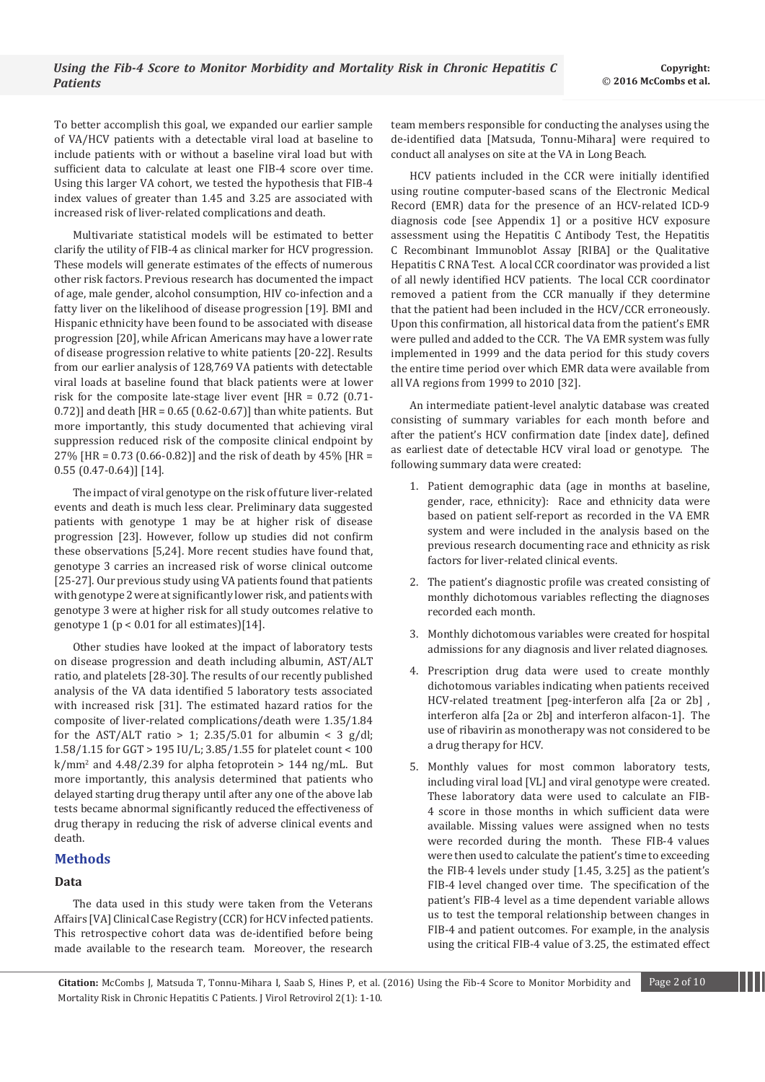To better accomplish this goal, we expanded our earlier sample of VA/HCV patients with a detectable viral load at baseline to include patients with or without a baseline viral load but with sufficient data to calculate at least one FIB-4 score over time. Using this larger VA cohort, we tested the hypothesis that FIB-4 index values of greater than 1.45 and 3.25 are associated with increased risk of liver-related complications and death.

Multivariate statistical models will be estimated to better clarify the utility of FIB-4 as clinical marker for HCV progression. These models will generate estimates of the effects of numerous other risk factors. Previous research has documented the impact of age, male gender, alcohol consumption, HIV co-infection and a fatty liver on the likelihood of disease progression [19]. BMI and Hispanic ethnicity have been found to be associated with disease progression [20], while African Americans may have a lower rate of disease progression relative to white patients [20-22]. Results from our earlier analysis of 128,769 VA patients with detectable viral loads at baseline found that black patients were at lower risk for the composite late-stage liver event [HR = 0.72 (0.71-  $0.72$ ] and death [HR =  $0.65$  (0.62-0.67)] than white patients. But more importantly, this study documented that achieving viral suppression reduced risk of the composite clinical endpoint by 27% [HR = 0.73 (0.66-0.82)] and the risk of death by 45% [HR = 0.55 (0.47-0.64)] [14].

The impact of viral genotype on the risk of future liver-related events and death is much less clear. Preliminary data suggested patients with genotype 1 may be at higher risk of disease progression [23]. However, follow up studies did not confirm these observations [5,24]. More recent studies have found that, genotype 3 carries an increased risk of worse clinical outcome [25-27]. Our previous study using VA patients found that patients with genotype 2 were at significantly lower risk, and patients with genotype 3 were at higher risk for all study outcomes relative to genotype 1 (p < 0.01 for all estimates)[14].

Other studies have looked at the impact of laboratory tests on disease progression and death including albumin, AST/ALT ratio, and platelets [28-30]. The results of our recently published analysis of the VA data identified 5 laboratory tests associated with increased risk [31]. The estimated hazard ratios for the composite of liver-related complications/death were 1.35/1.84 for the AST/ALT ratio  $> 1$ ; 2.35/5.01 for albumin < 3 g/dl; 1.58/1.15 for GGT > 195 IU/L; 3.85/1.55 for platelet count < 100 k/mm2 and 4.48/2.39 for alpha fetoprotein > 144 ng/mL. But more importantly, this analysis determined that patients who delayed starting drug therapy until after any one of the above lab tests became abnormal significantly reduced the effectiveness of drug therapy in reducing the risk of adverse clinical events and death.

# **Methods**

## **Data**

The data used in this study were taken from the Veterans Affairs [VA] Clinical Case Registry (CCR) for HCV infected patients. This retrospective cohort data was de-identified before being made available to the research team. Moreover, the research team members responsible for conducting the analyses using the de-identified data [Matsuda, Tonnu-Mihara] were required to conduct all analyses on site at the VA in Long Beach.

HCV patients included in the CCR were initially identified using routine computer-based scans of the Electronic Medical Record (EMR) data for the presence of an HCV-related ICD-9 diagnosis code [see Appendix 1] or a positive HCV exposure assessment using the Hepatitis C Antibody Test, the Hepatitis C Recombinant Immunoblot Assay [RIBA] or the Qualitative Hepatitis C RNA Test. A local CCR coordinator was provided a list of all newly identified HCV patients. The local CCR coordinator removed a patient from the CCR manually if they determine that the patient had been included in the HCV/CCR erroneously. Upon this confirmation, all historical data from the patient's EMR were pulled and added to the CCR. The VA EMR system was fully implemented in 1999 and the data period for this study covers the entire time period over which EMR data were available from all VA regions from 1999 to 2010 [32].

An intermediate patient-level analytic database was created consisting of summary variables for each month before and after the patient's HCV confirmation date [index date], defined as earliest date of detectable HCV viral load or genotype. The following summary data were created:

- 1. Patient demographic data (age in months at baseline, gender, race, ethnicity): Race and ethnicity data were based on patient self-report as recorded in the VA EMR system and were included in the analysis based on the previous research documenting race and ethnicity as risk factors for liver-related clinical events.
- 2. The patient's diagnostic profile was created consisting of monthly dichotomous variables reflecting the diagnoses recorded each month.
- 3. Monthly dichotomous variables were created for hospital admissions for any diagnosis and liver related diagnoses.
- 4. Prescription drug data were used to create monthly dichotomous variables indicating when patients received HCV-related treatment [peg-interferon alfa [2a or 2b] , interferon alfa [2a or 2b] and interferon alfacon-1]. The use of ribavirin as monotherapy was not considered to be a drug therapy for HCV.
- 5. Monthly values for most common laboratory tests, including viral load [VL] and viral genotype were created. These laboratory data were used to calculate an FIB-4 score in those months in which sufficient data were available. Missing values were assigned when no tests were recorded during the month. These FIB-4 values were then used to calculate the patient's time to exceeding the FIB-4 levels under study [1.45, 3.25] as the patient's FIB-4 level changed over time. The specification of the patient's FIB-4 level as a time dependent variable allows us to test the temporal relationship between changes in FIB-4 and patient outcomes. For example, in the analysis using the critical FIB-4 value of 3.25, the estimated effect

**Citation:** McCombs J, Matsuda T, Tonnu-Mihara I, Saab S, Hines P, et al. (2016) Using the Fib-4 Score to Monitor Morbidity and Page 2 of 10 Mortality Risk in Chronic Hepatitis C Patients. J Virol Retrovirol 2(1): 1-10.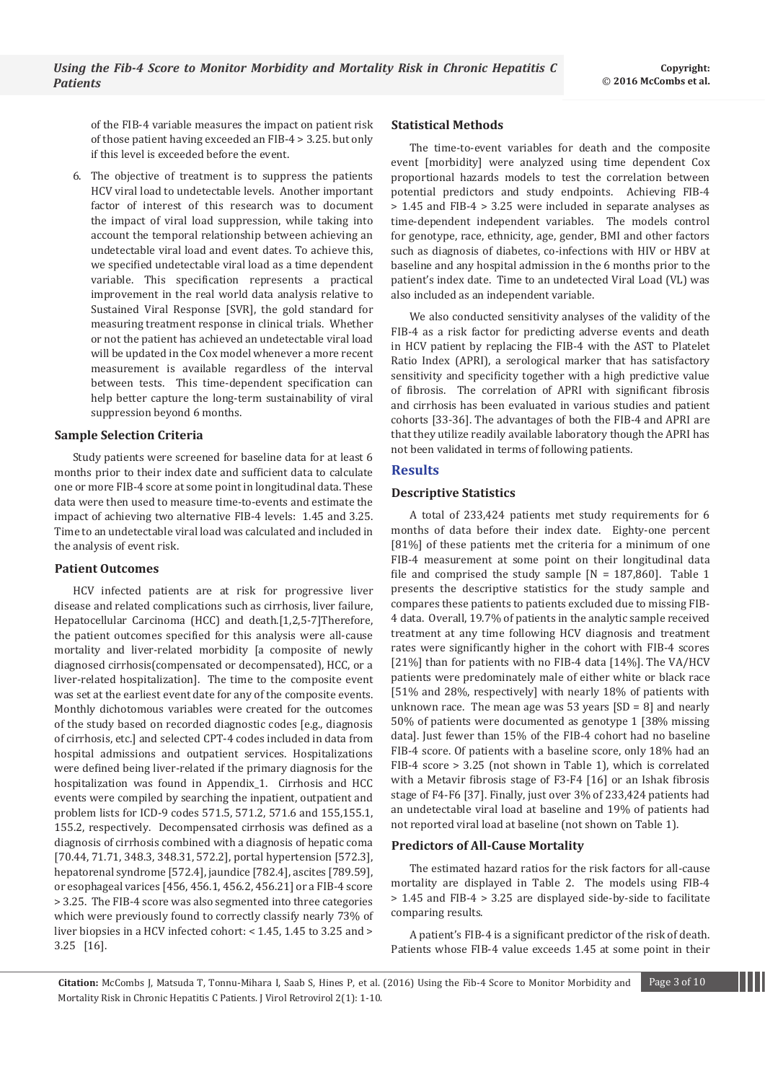of the FIB-4 variable measures the impact on patient risk of those patient having exceeded an FIB-4 > 3.25. but only if this level is exceeded before the event.

6. The objective of treatment is to suppress the patients HCV viral load to undetectable levels. Another important factor of interest of this research was to document the impact of viral load suppression, while taking into account the temporal relationship between achieving an undetectable viral load and event dates. To achieve this, we specified undetectable viral load as a time dependent variable. This specification represents a practical improvement in the real world data analysis relative to Sustained Viral Response [SVR], the gold standard for measuring treatment response in clinical trials. Whether or not the patient has achieved an undetectable viral load will be updated in the Cox model whenever a more recent measurement is available regardless of the interval between tests. This time-dependent specification can help better capture the long-term sustainability of viral suppression beyond 6 months.

## **Sample Selection Criteria**

Study patients were screened for baseline data for at least 6 months prior to their index date and sufficient data to calculate one or more FIB-4 score at some point in longitudinal data. These data were then used to measure time-to-events and estimate the impact of achieving two alternative FIB-4 levels: 1.45 and 3.25. Time to an undetectable viral load was calculated and included in the analysis of event risk.

#### **Patient Outcomes**

HCV infected patients are at risk for progressive liver disease and related complications such as cirrhosis, liver failure, Hepatocellular Carcinoma (HCC) and death.[1,2,5-7]Therefore, the patient outcomes specified for this analysis were all-cause mortality and liver-related morbidity [a composite of newly diagnosed cirrhosis(compensated or decompensated), HCC, or a liver-related hospitalization]. The time to the composite event was set at the earliest event date for any of the composite events. Monthly dichotomous variables were created for the outcomes of the study based on recorded diagnostic codes [e.g., diagnosis of cirrhosis, etc.] and selected CPT-4 codes included in data from hospital admissions and outpatient services. Hospitalizations were defined being liver-related if the primary diagnosis for the hospitalization was found in Appendix\_1. Cirrhosis and HCC events were compiled by searching the inpatient, outpatient and problem lists for ICD-9 codes 571.5, 571.2, 571.6 and 155,155.1, 155.2, respectively. Decompensated cirrhosis was defined as a diagnosis of cirrhosis combined with a diagnosis of hepatic coma [70.44, 71.71, 348.3, 348.31, 572.2], portal hypertension [572.3], hepatorenal syndrome [572.4], jaundice [782.4], ascites [789.59], or esophageal varices [456, 456.1, 456.2, 456.21] or a FIB-4 score > 3.25. The FIB-4 score was also segmented into three categories which were previously found to correctly classify nearly 73% of liver biopsies in a HCV infected cohort: < 1.45, 1.45 to 3.25 and > 3.25 [16].

#### **Statistical Methods**

The time-to-event variables for death and the composite event [morbidity] were analyzed using time dependent Cox proportional hazards models to test the correlation between potential predictors and study endpoints. Achieving FIB-4 > 1.45 and FIB-4 > 3.25 were included in separate analyses as time-dependent independent variables. The models control for genotype, race, ethnicity, age, gender, BMI and other factors such as diagnosis of diabetes, co-infections with HIV or HBV at baseline and any hospital admission in the 6 months prior to the patient's index date. Time to an undetected Viral Load (VL) was also included as an independent variable.

We also conducted sensitivity analyses of the validity of the FIB-4 as a risk factor for predicting adverse events and death in HCV patient by replacing the FIB-4 with the AST to Platelet Ratio Index (APRI), a serological marker that has satisfactory sensitivity and specificity together with a high predictive value of fibrosis. The correlation of APRI with significant fibrosis and cirrhosis has been evaluated in various studies and patient cohorts [33-36]. The advantages of both the FIB-4 and APRI are that they utilize readily available laboratory though the APRI has not been validated in terms of following patients.

#### **Results**

#### **Descriptive Statistics**

A total of 233,424 patients met study requirements for 6 months of data before their index date. Eighty-one percent [81%] of these patients met the criteria for a minimum of one FIB-4 measurement at some point on their longitudinal data file and comprised the study sample  $[N = 187,860]$ . Table 1 presents the descriptive statistics for the study sample and compares these patients to patients excluded due to missing FIB-4 data. Overall, 19.7% of patients in the analytic sample received treatment at any time following HCV diagnosis and treatment rates were significantly higher in the cohort with FIB-4 scores [21%] than for patients with no FIB-4 data [14%]. The VA/HCV patients were predominately male of either white or black race [51% and 28%, respectively] with nearly 18% of patients with unknown race. The mean age was 53 years  $[SD = 8]$  and nearly 50% of patients were documented as genotype 1 [38% missing data]. Just fewer than 15% of the FIB-4 cohort had no baseline FIB-4 score. Of patients with a baseline score, only 18% had an FIB-4 score > 3.25 (not shown in Table 1), which is correlated with a Metavir fibrosis stage of F3-F4 [16] or an Ishak fibrosis stage of F4-F6 [37]. Finally, just over 3% of 233,424 patients had an undetectable viral load at baseline and 19% of patients had not reported viral load at baseline (not shown on Table 1).

#### **Predictors of All-Cause Mortality**

The estimated hazard ratios for the risk factors for all-cause mortality are displayed in Table 2. The models using FIB-4 > 1.45 and FIB-4 > 3.25 are displayed side-by-side to facilitate comparing results.

A patient's FIB-4 is a significant predictor of the risk of death. Patients whose FIB-4 value exceeds 1.45 at some point in their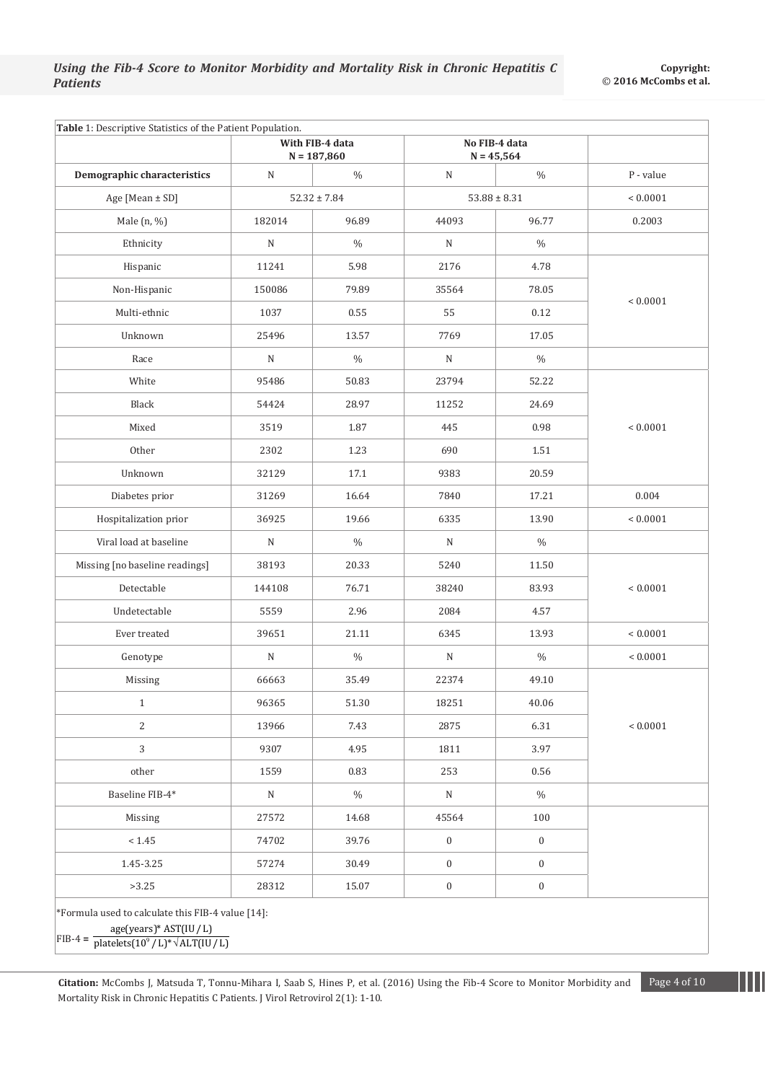|                                | With FIB-4 data<br>$N = 187,860$ |               | No FIB-4 data<br>$N = 45,564$ |                  |              |  |
|--------------------------------|----------------------------------|---------------|-------------------------------|------------------|--------------|--|
| Demographic characteristics    | $\mathbf N$                      | $\%$          | $\mathbf N$                   | $\%$             | P - value    |  |
| Age [Mean ± SD]                | $52.32 \pm 7.84$                 |               |                               | $53.88 \pm 8.31$ | ${}< 0.0001$ |  |
| Male (n, %)                    | 182014                           | 96.89         | 44093                         | 96.77            | 0.2003       |  |
| Ethnicity                      | $\mathbf N$                      | $\%$          | ${\bf N}$                     | $\%$             |              |  |
| Hispanic                       | 11241                            | 5.98          | 2176                          | 4.78             | ${}< 0.0001$ |  |
| Non-Hispanic                   | 150086                           | 79.89         | 35564                         | 78.05            |              |  |
| Multi-ethnic                   | 1037                             | 0.55          | 55                            | 0.12             |              |  |
| Unknown                        | 25496                            | 13.57         | 7769                          | 17.05            |              |  |
| Race                           | N                                | $\%$          | ${\bf N}$                     | $\%$             |              |  |
| White                          | 95486                            | 50.83         | 23794                         | 52.22            |              |  |
| Black                          | 54424                            | 28.97         | 11252                         | 24.69            |              |  |
| Mixed                          | 3519                             | 1.87          | 445                           | 0.98             | ${}< 0.0001$ |  |
| Other                          | 2302                             | 1.23          | 690                           | 1.51             |              |  |
| Unknown                        | 32129                            | 17.1          | 9383                          | 20.59            |              |  |
| Diabetes prior                 | 31269                            | 16.64         | 7840                          | 17.21            | 0.004        |  |
| Hospitalization prior          | 36925                            | 19.66         | 6335                          | 13.90            | ${}< 0.0001$ |  |
| Viral load at baseline         | N                                | $\frac{0}{0}$ | N                             | $\%$             |              |  |
| Missing [no baseline readings] | 38193                            | 20.33         | 5240                          | 11.50            | ${}< 0.0001$ |  |
| Detectable                     | 144108                           | 76.71         | 38240                         | 83.93            |              |  |
| Undetectable                   | 5559                             | 2.96          | 2084                          | 4.57             |              |  |
| Ever treated                   | 39651                            | 21.11         | 6345                          | 13.93            | ${}< 0.0001$ |  |
| Genotype                       | ${\bf N}$                        | $\%$          | $\mathbf N$                   | $\%$             | ${}< 0.0001$ |  |
| Missing                        | 66663                            | 35.49         | 22374                         | 49.10            |              |  |
| 1                              | 96365                            | 51.30         | 18251                         | 40.06            | $< 0.0001$   |  |
| $\overline{c}$                 | 13966                            | 7.43          | 2875                          | 6.31             |              |  |
| 3                              | 9307                             | 4.95          | 1811                          | 3.97             |              |  |
| other                          | 1559                             | 0.83          | 253                           | 0.56             |              |  |
| Baseline FIB-4*                | ${\rm N}$                        | $\%$          | ${\bf N}$                     | $\%$             |              |  |
| Missing                        | 27572                            | 14.68         | 45564                         | 100              |              |  |
| < 1.45                         | 74702                            | 39.76         | $\boldsymbol{0}$              | $\mathbf{0}$     |              |  |
| 1.45-3.25                      | 57274                            | 30.49         | $\boldsymbol{0}$              | $\mathbf{0}$     |              |  |
| >3.25                          | 28312                            | 15.07         | $\boldsymbol{0}$              | $\boldsymbol{0}$ |              |  |

age(years)\* AST(IU / L)<br>FIB-4 = <del>| platelets(10<sup>9</sup> / L)\*√ ALT(IU</del> platelets $(10^9 / L)^* \sqrt{\text{ALT}(IU/L)}$ 

**Citation:** McCombs J, Matsuda T, Tonnu-Mihara I, Saab S, Hines P, et al. (2016) Using the Fib-4 Score to Monitor Morbidity and Page 4 of 10 Mortality Risk in Chronic Hepatitis C Patients. J Virol Retrovirol 2(1): 1-10.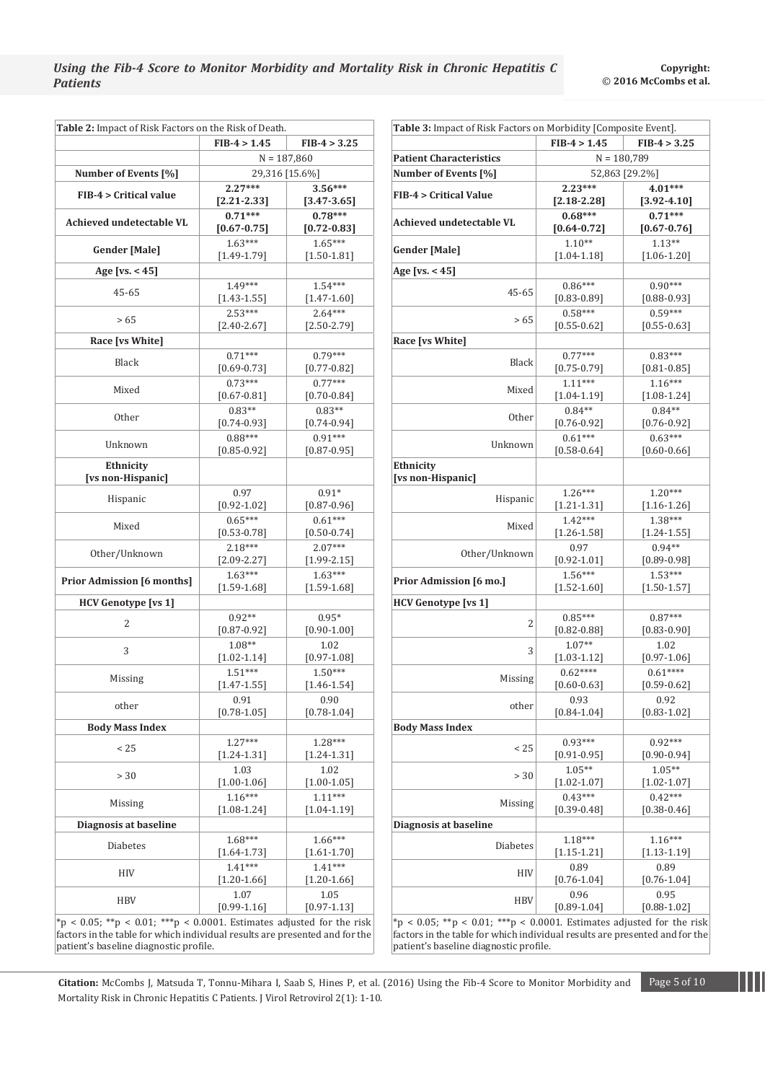| Table 2: Impact of Risk Factors on the Risk of Death. |                              |                              |  |
|-------------------------------------------------------|------------------------------|------------------------------|--|
|                                                       | $FIB-4 > 1.45$               | $FIB-4 > 3.25$               |  |
|                                                       | $N = 187,860$                |                              |  |
| Number of Events [%]                                  |                              | 29,316 [15.6%]               |  |
| <b>FIB-4 &gt; Critical value</b>                      | $2.27***$                    | $3.56***$                    |  |
|                                                       | $[2.21 - 2.33]$              | $[3.47 - 3.65]$              |  |
| Achieved undetectable VL                              | $0.71***$<br>$[0.67 - 0.75]$ | $0.78***$<br>$[0.72 - 0.83]$ |  |
| <b>Gender [Male]</b>                                  | $1.63***$<br>$[1.49 - 1.79]$ | $1.65***$<br>$[1.50 - 1.81]$ |  |
| Age [vs. $<$ 45]                                      |                              |                              |  |
|                                                       | $1.49***$                    | $1.54***$                    |  |
| 45-65                                                 | $[1.43 - 1.55]$              | $[1.47 - 1.60]$              |  |
|                                                       | $2.53***$                    | $2.64***$                    |  |
| > 65                                                  | $[2.40 - 2.67]$              | $[2.50 - 2.79]$              |  |
| Race [vs White]                                       |                              |                              |  |
| Black                                                 | $0.71***$                    | $0.79***$                    |  |
|                                                       | $[0.69 - 0.73]$              | $[0.77 - 0.82]$              |  |
| Mixed                                                 | $0.73***$                    | $0.77***$                    |  |
|                                                       | $[0.67 - 0.81]$              | $[0.70 - 0.84]$              |  |
| <b>Other</b>                                          | $0.83**$                     | $0.83**$                     |  |
|                                                       | $[0.74 - 0.93]$<br>$0.88***$ | $[0.74 - 0.94]$<br>$0.91***$ |  |
| Unknown                                               | $[0.85 - 0.92]$              | $[0.87 - 0.95]$              |  |
| Ethnicity<br>[vs non-Hispanic]                        |                              |                              |  |
| Hispanic                                              | 0.97                         | $0.91*$                      |  |
|                                                       | $[0.92 - 1.02]$              | $[0.87 - 0.96]$              |  |
| Mixed                                                 | $0.65***$                    | $0.61***$                    |  |
|                                                       | $[0.53 - 0.78]$              | $[0.50 - 0.74]$              |  |
| Other/Unknown                                         | $2.18***$                    | $2.07***$                    |  |
|                                                       | $[2.09 - 2.27]$<br>$1.63***$ | $[1.99 - 2.15]$<br>$1.63***$ |  |
| <b>Prior Admission [6 months]</b>                     | $[1.59 - 1.68]$              | $[1.59 - 1.68]$              |  |
| <b>HCV Genotype [vs 1]</b>                            |                              |                              |  |
|                                                       | $0.92**$                     | $0.95*$                      |  |
| 2                                                     | $[0.87 - 0.92]$              | $[0.90 - 1.00]$              |  |
|                                                       | $1.08**$                     | 1.02                         |  |
| 3                                                     | $[1.02 - 1.14]$              | $[0.97 - 1.08]$              |  |
| Missing                                               | $1.51***$                    | $1.50***$                    |  |
|                                                       | $[1.47 - 1.55]$              | $[1.46 - 1.54]$              |  |
| other                                                 | 0.91                         | 0.90                         |  |
|                                                       | $[0.78 - 1.05]$              | $[0.78 - 1.04]$              |  |
| <b>Body Mass Index</b>                                |                              |                              |  |
| < 25                                                  | $1.27***$                    | 1.28***                      |  |
|                                                       | $[1.24 - 1.31]$<br>1.03      | $[1.24 - 1.31]$<br>1.02      |  |
| >30                                                   | $[1.00 - 1.06]$              | $[1.00 - 1.05]$              |  |
|                                                       | $1.16***$                    | $1.11***$                    |  |
| Missing                                               | $[1.08 - 1.24]$              | $[1.04 - 1.19]$              |  |
| Diagnosis at baseline                                 |                              |                              |  |
|                                                       | $1.68***$                    | $1.66***$                    |  |
| <b>Diabetes</b>                                       | $[1.64 - 1.73]$              | $[1.61 - 1.70]$              |  |
| HIV                                                   | $1.41***$                    | $1.41***$                    |  |
|                                                       | $[1.20 - 1.66]$              | $[1.20 - 1.66]$              |  |
| HBV                                                   | 1.07                         | 1.05                         |  |
|                                                       | $[0.99 - 1.16]$              | $[0.97 - 1.13]$              |  |

patient's baseline diagnostic profile.

| Table 3: Impact of Risk Factors on Morbidity [Composite Event].                                                                                 |                              |                                           |
|-------------------------------------------------------------------------------------------------------------------------------------------------|------------------------------|-------------------------------------------|
|                                                                                                                                                 | $FIB-4 > 1.45$               | $FIB-4 > 3.25$                            |
| <b>Patient Characteristics</b>                                                                                                                  |                              | $N = 180,789$                             |
| <b>Number of Events [%]</b>                                                                                                                     |                              | 52,863 [29.2%]                            |
| <b>FIB-4 &gt; Critical Value</b>                                                                                                                | $2.23***$<br>$[2.18 - 2.28]$ | 4.01***<br>$[3.92 - 4.10]$                |
| Achieved undetectable VL                                                                                                                        | $0.68***$<br>$[0.64 - 0.72]$ | $0.71***$<br>$[0.67 - 0.76]$              |
| <b>Gender [Male]</b>                                                                                                                            | $1.10**$<br>$[1.04 - 1.18]$  | $1.13**$<br>$[1.06 - 1.20]$               |
| Age [vs. $<$ 45]                                                                                                                                |                              |                                           |
| $45 - 65$                                                                                                                                       | $0.86***$<br>$[0.83 - 0.89]$ | $0.90***$<br>$[0.88 - 0.93]$              |
| >65                                                                                                                                             | $0.58***$                    | $0.59***$                                 |
| Race [vs White]                                                                                                                                 | $[0.55 - 0.62]$              | $[0.55 - 0.63]$                           |
| Black                                                                                                                                           | $0.77***$                    | $0.83***$                                 |
|                                                                                                                                                 | $[0.75 - 0.79]$<br>$1.11***$ | $[0.81 - 0.85]$<br>$1.16***$              |
| Mixed                                                                                                                                           | $[1.04 - 1.19]$              | $[1.08 - 1.24]$                           |
| Other                                                                                                                                           | $0.84**$                     | $0.84**$                                  |
|                                                                                                                                                 | $[0.76 - 0.92]$              | $[0.76 - 0.92]$                           |
| Unknown                                                                                                                                         | $0.61***$<br>$[0.58 - 0.64]$ | $0.63***$<br>$[0.60 - 0.66]$              |
| Ethnicity<br>[vs non-Hispanic]                                                                                                                  |                              |                                           |
| Hispanic                                                                                                                                        | $1.26***$                    | $1.20***$                                 |
|                                                                                                                                                 | $[1.21 - 1.31]$<br>$1.42***$ | $[1.16 - 1.26]$<br>1.38***                |
| Mixed                                                                                                                                           | $[1.26 - 1.58]$              | $[1.24 - 1.55]$                           |
| Other/Unknown                                                                                                                                   | 0.97<br>$[0.92 - 1.01]$      | $0.94**$<br>$[0.89 - 0.98]$               |
| Prior Admission [6 mo.]                                                                                                                         | $1.56***$<br>$[1.52 - 1.60]$ | $1.53***$<br>$[1.50 - 1.57]$              |
| <b>HCV Genotype [vs 1]</b>                                                                                                                      |                              |                                           |
| 2                                                                                                                                               | $0.85***$<br>$[0.82 - 0.88]$ | $0.87***$<br>$[0.83 - 0.90]$              |
| 3                                                                                                                                               | $1.07**$<br>$[1.03 - 1.12]$  | 1.02<br>$[0.97 - 1.06]$                   |
| Missing                                                                                                                                         | $0.62***$<br>$[0.60 - 0.63]$ | $0.61***$<br>$[0.59 - 0.62]$              |
| other                                                                                                                                           | 0.93<br>$[0.84 - 1.04]$      | 0.92<br>$[0.83 - 1.02]$                   |
| <b>Body Mass Index</b>                                                                                                                          |                              |                                           |
| < 25                                                                                                                                            | $0.93***$<br>$[0.91 - 0.95]$ | $0.92***$<br>$[0.90 - 0.94]$              |
| > 30                                                                                                                                            | $1.05**$<br>$[1.02 - 1.07]$  | $1.05**$<br>$\lfloor 1.02 - 1.07 \rfloor$ |
| Missing                                                                                                                                         | $0.43***$                    | $0.42***$                                 |
| Diagnosis at baseline                                                                                                                           | $[0.39 - 0.48]$              | $[0.38 - 0.46]$                           |
| Diabetes                                                                                                                                        | $1.18***$<br>$[1.15 - 1.21]$ | $1.16***$<br>$[1.13 - 1.19]$              |
| HIV                                                                                                                                             | 0.89<br>$[0.76 - 1.04]$      | 0.89<br>$[0.76 - 1.04]$                   |
| HBV                                                                                                                                             | 0.96<br>$[0.89 - 1.04]$      | 0.95<br>$[0.88 - 1.02]$                   |
| *p < 0.05; **p < 0.01; ***p < 0.0001. Estimates adjusted for the risk<br>re in the table for which individual results are presented and for the |                              |                                           |

actors in the table for which individual results are presented and for patient's baseline diagnostic profile.

**Citation:** McCombs J, Matsuda T, Tonnu-Mihara I, Saab S, Hines P, et al. (2016) Using the Fib-4 Score to Monitor Morbidity and Page 5 of 10 Mortality Risk in Chronic Hepatitis C Patients. J Virol Retrovirol 2(1): 1-10.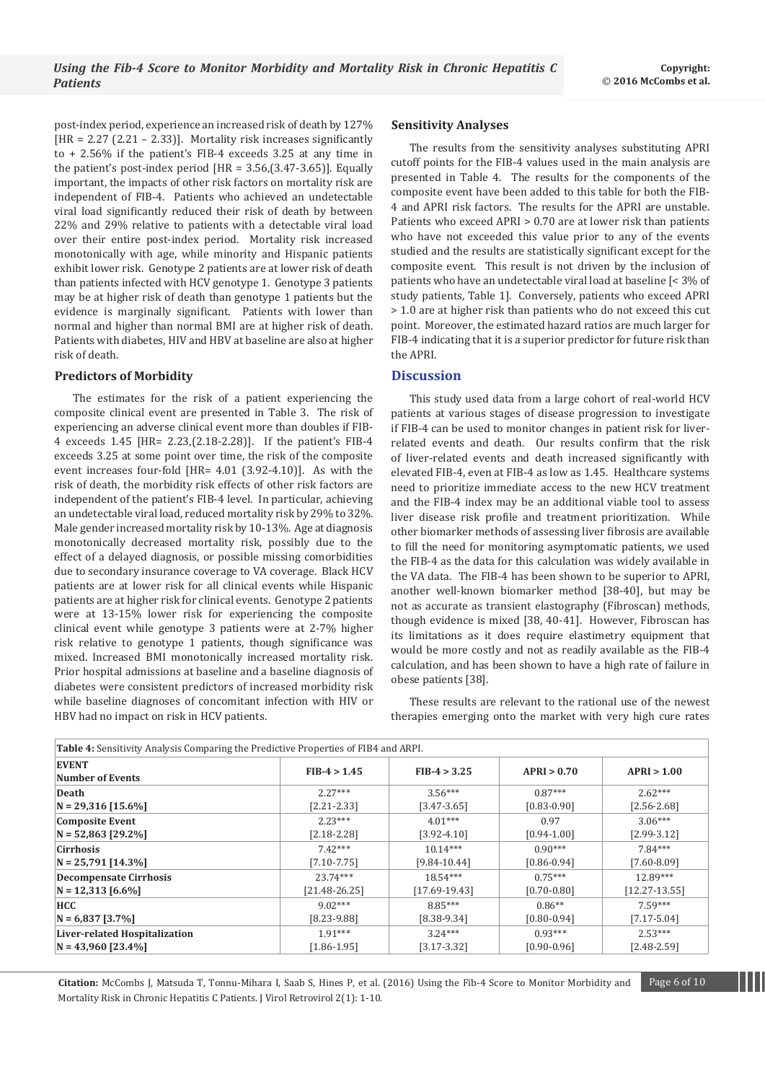post-index period, experience an increased risk of death by 127%  $[HR = 2.27 (2.21 - 2.33)].$  Mortality risk increases significantly to + 2.56% if the patient's FIB-4 exceeds 3.25 at any time in the patient's post-index period  $[HR = 3.56,(3.47-3.65)]$ . Equally important, the impacts of other risk factors on mortality risk are independent of FIB-4. Patients who achieved an undetectable viral load significantly reduced their risk of death by between 22% and 29% relative to patients with a detectable viral load over their entire post-index period. Mortality risk increased monotonically with age, while minority and Hispanic patients exhibit lower risk. Genotype 2 patients are at lower risk of death than patients infected with HCV genotype 1. Genotype 3 patients may be at higher risk of death than genotype 1 patients but the evidence is marginally significant. Patients with lower than normal and higher than normal BMI are at higher risk of death. Patients with diabetes, HIV and HBV at baseline are also at higher risk of death.

## **Predictors of Morbidity**

The estimates for the risk of a patient experiencing the composite clinical event are presented in Table 3. The risk of experiencing an adverse clinical event more than doubles if FIB-4 exceeds 1.45 [HR= 2.23,(2.18-2.28)]. If the patient's FIB-4 exceeds 3.25 at some point over time, the risk of the composite event increases four-fold [HR= 4.01 (3.92-4.10)]. As with the risk of death, the morbidity risk effects of other risk factors are independent of the patient's FIB-4 level. In particular, achieving an undetectable viral load, reduced mortality risk by 29% to 32%. Male gender increased mortality risk by 10-13%. Age at diagnosis monotonically decreased mortality risk, possibly due to the effect of a delayed diagnosis, or possible missing comorbidities due to secondary insurance coverage to VA coverage. Black HCV patients are at lower risk for all clinical events while Hispanic patients are at higher risk for clinical events. Genotype 2 patients were at 13-15% lower risk for experiencing the composite clinical event while genotype 3 patients were at 2-7% higher risk relative to genotype 1 patients, though significance was mixed. Increased BMI monotonically increased mortality risk. Prior hospital admissions at baseline and a baseline diagnosis of diabetes were consistent predictors of increased morbidity risk while baseline diagnoses of concomitant infection with HIV or HBV had no impact on risk in HCV patients.

## **Sensitivity Analyses**

The results from the sensitivity analyses substituting APRI cutoff points for the FIB-4 values used in the main analysis are presented in Table 4. The results for the components of the composite event have been added to this table for both the FIB-4 and APRI risk factors. The results for the APRI are unstable. Patients who exceed APRI > 0.70 are at lower risk than patients who have not exceeded this value prior to any of the events studied and the results are statistically significant except for the composite event. This result is not driven by the inclusion of patients who have an undetectable viral load at baseline [< 3% of study patients, Table 1]. Conversely, patients who exceed APRI > 1.0 are at higher risk than patients who do not exceed this cut point. Moreover, the estimated hazard ratios are much larger for FIB-4 indicating that it is a superior predictor for future risk than the APRI.

# **Discussion**

This study used data from a large cohort of real-world HCV patients at various stages of disease progression to investigate if FIB-4 can be used to monitor changes in patient risk for liverrelated events and death. Our results confirm that the risk of liver-related events and death increased significantly with elevated FIB-4, even at FIB-4 as low as 1.45. Healthcare systems need to prioritize immediate access to the new HCV treatment and the FIB-4 index may be an additional viable tool to assess liver disease risk profile and treatment prioritization. While other biomarker methods of assessing liver fibrosis are available to fill the need for monitoring asymptomatic patients, we used the FIB-4 as the data for this calculation was widely available in the VA data. The FIB-4 has been shown to be superior to APRI, another well-known biomarker method [38-40], but may be not as accurate as transient elastography (Fibroscan) methods, though evidence is mixed [38, 40-41]. However, Fibroscan has its limitations as it does require elastimetry equipment that would be more costly and not as readily available as the FIB-4 calculation, and has been shown to have a high rate of failure in obese patients [38].

These results are relevant to the rational use of the newest therapies emerging onto the market with very high cure rates

| <b>Table 4:</b> Sensitivity Analysis Comparing the Predictive Properties of FIB4 and ARPI. |                   |                  |                 |                   |
|--------------------------------------------------------------------------------------------|-------------------|------------------|-----------------|-------------------|
| <b>EVENT</b><br><b>Number of Events</b>                                                    | $FIB-4 > 1.45$    | $FIB-4 > 3.25$   | APRI > 0.70     | APRI > 1.00       |
| Death                                                                                      | $2.27***$         | $3.56***$        | $0.87***$       | $2.62***$         |
| $N = 29,316$ [15.6%]                                                                       | $[2.21 - 2.33]$   | $[3.47 - 3.65]$  | $[0.83 - 0.90]$ | $[2.56 - 2.68]$   |
| <b>Composite Event</b>                                                                     | $2.23***$         | $4.01***$        | 0.97            | $3.06***$         |
| $N = 52,863$ [29.2%]                                                                       | $[2.18 - 2.28]$   | $[3.92 - 4.10]$  | $[0.94 - 1.00]$ | $[2.99 - 3.12]$   |
| <b>Cirrhosis</b>                                                                           | $7.42***$         | $10.14***$       | $0.90***$       | $7.84***$         |
| $N = 25,791$ [14.3%]                                                                       | $[7.10 - 7.75]$   | $[9.84 - 10.44]$ | $[0.86 - 0.94]$ | $[7.60 - 8.09]$   |
| <b>Decompensate Cirrhosis</b>                                                              | $23.74***$        | $18.54***$       | $0.75***$       | 12.89***          |
| $N = 12,313$ [6.6%]                                                                        | $[21.48 - 26.25]$ | $[17.69-19.43]$  | $[0.70 - 0.80]$ | $[12.27 - 13.55]$ |
| <b>HCC</b>                                                                                 | $9.02***$         | 8.85***          | $0.86**$        | $7.59***$         |
| $N = 6,837$ [3.7%]                                                                         | $[8.23 - 9.88]$   | $[8.38-9.34]$    | $[0.80 - 0.94]$ | $[7.17 - 5.04]$   |
| Liver-related Hospitalization                                                              | $1.91***$         | $3.24***$        | $0.93***$       | $2.53***$         |
| $N = 43,960$ [23.4%]                                                                       | $[1.86 - 1.95]$   | $[3.17 - 3.32]$  | $[0.90 - 0.96]$ | $[2.48 - 2.59]$   |

**Citation:** McCombs J, Matsuda T, Tonnu-Mihara I, Saab S, Hines P, et al. (2016) Using the Fib-4 Score to Monitor Morbidity and Page 6 of 10 Mortality Risk in Chronic Hepatitis C Patients. J Virol Retrovirol 2(1): 1-10.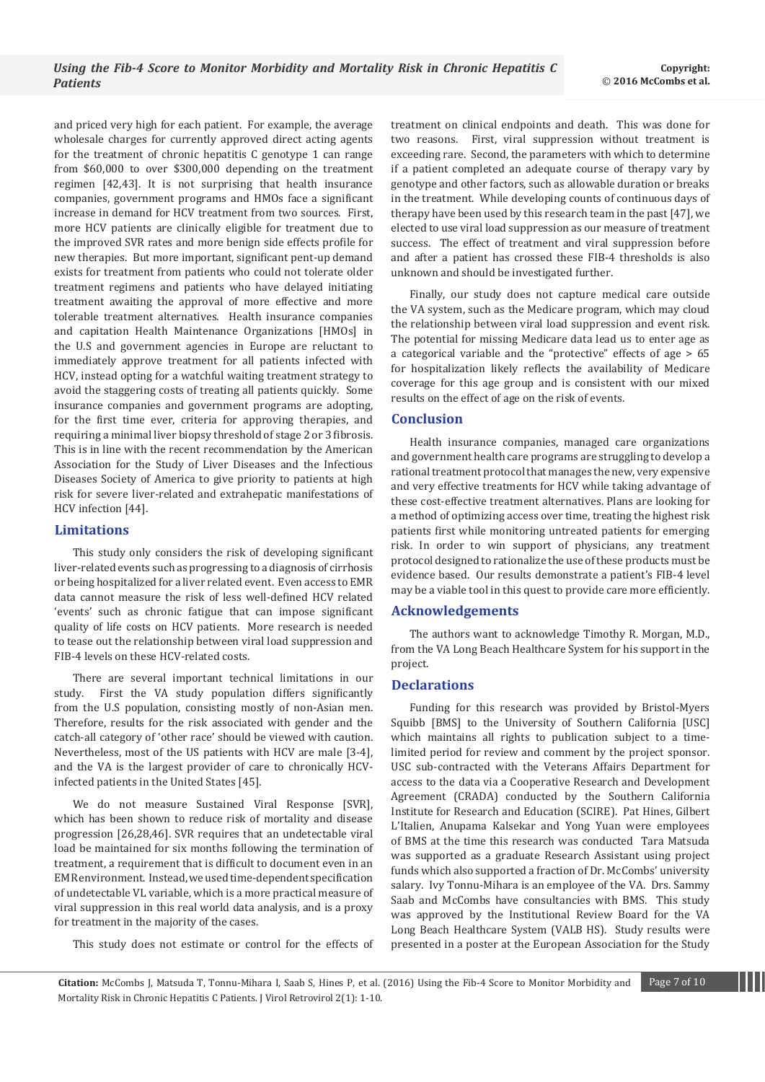and priced very high for each patient. For example, the average wholesale charges for currently approved direct acting agents for the treatment of chronic hepatitis C genotype 1 can range from \$60,000 to over \$300,000 depending on the treatment regimen [42,43]. It is not surprising that health insurance companies, government programs and HMOs face a significant increase in demand for HCV treatment from two sources. First, more HCV patients are clinically eligible for treatment due to the improved SVR rates and more benign side effects profile for new therapies. But more important, significant pent-up demand exists for treatment from patients who could not tolerate older treatment regimens and patients who have delayed initiating treatment awaiting the approval of more effective and more tolerable treatment alternatives. Health insurance companies and capitation Health Maintenance Organizations [HMOs] in the U.S and government agencies in Europe are reluctant to immediately approve treatment for all patients infected with HCV, instead opting for a watchful waiting treatment strategy to avoid the staggering costs of treating all patients quickly. Some insurance companies and government programs are adopting, for the first time ever, criteria for approving therapies, and requiring a minimal liver biopsy threshold of stage 2 or 3 fibrosis. This is in line with the recent recommendation by the American Association for the Study of Liver Diseases and the Infectious Diseases Society of America to give priority to patients at high risk for severe liver-related and extrahepatic manifestations of HCV infection [44].

# **Limitations**

This study only considers the risk of developing significant liver-related events such as progressing to a diagnosis of cirrhosis or being hospitalized for a liver related event. Even access to EMR data cannot measure the risk of less well-defined HCV related 'events' such as chronic fatigue that can impose significant quality of life costs on HCV patients. More research is needed to tease out the relationship between viral load suppression and FIB-4 levels on these HCV-related costs.

There are several important technical limitations in our study. First the VA study population differs significantly from the U.S population, consisting mostly of non-Asian men. Therefore, results for the risk associated with gender and the catch-all category of 'other race' should be viewed with caution. Nevertheless, most of the US patients with HCV are male [3-4], and the VA is the largest provider of care to chronically HCVinfected patients in the United States [45].

We do not measure Sustained Viral Response [SVR], which has been shown to reduce risk of mortality and disease progression [26,28,46]. SVR requires that an undetectable viral load be maintained for six months following the termination of treatment, a requirement that is difficult to document even in an EMR environment. Instead, we used time-dependent specification of undetectable VL variable, which is a more practical measure of viral suppression in this real world data analysis, and is a proxy for treatment in the majority of the cases.

This study does not estimate or control for the effects of

treatment on clinical endpoints and death. This was done for two reasons. First, viral suppression without treatment is exceeding rare. Second, the parameters with which to determine if a patient completed an adequate course of therapy vary by genotype and other factors, such as allowable duration or breaks in the treatment. While developing counts of continuous days of therapy have been used by this research team in the past [47], we elected to use viral load suppression as our measure of treatment success. The effect of treatment and viral suppression before and after a patient has crossed these FIB-4 thresholds is also unknown and should be investigated further.

Finally, our study does not capture medical care outside the VA system, such as the Medicare program, which may cloud the relationship between viral load suppression and event risk. The potential for missing Medicare data lead us to enter age as a categorical variable and the "protective" effects of age > 65 for hospitalization likely reflects the availability of Medicare coverage for this age group and is consistent with our mixed results on the effect of age on the risk of events.

# **Conclusion**

Health insurance companies, managed care organizations and government health care programs are struggling to develop a rational treatment protocol that manages the new, very expensive and very effective treatments for HCV while taking advantage of these cost-effective treatment alternatives. Plans are looking for a method of optimizing access over time, treating the highest risk patients first while monitoring untreated patients for emerging risk. In order to win support of physicians, any treatment protocol designed to rationalize the use of these products must be evidence based. Our results demonstrate a patient's FIB-4 level may be a viable tool in this quest to provide care more efficiently.

#### **Acknowledgements**

The authors want to acknowledge Timothy R. Morgan, M.D., from the VA Long Beach Healthcare System for his support in the project.

## **Declarations**

Funding for this research was provided by Bristol-Myers Squibb [BMS] to the University of Southern California [USC] which maintains all rights to publication subject to a timelimited period for review and comment by the project sponsor. USC sub-contracted with the Veterans Affairs Department for access to the data via a Cooperative Research and Development Agreement (CRADA) conducted by the Southern California Institute for Research and Education (SCIRE). Pat Hines, Gilbert L'Italien, Anupama Kalsekar and Yong Yuan were employees of BMS at the time this research was conducted Tara Matsuda was supported as a graduate Research Assistant using project funds which also supported a fraction of Dr. McCombs' university salary. Ivy Tonnu-Mihara is an employee of the VA. Drs. Sammy Saab and McCombs have consultancies with BMS. This study was approved by the Institutional Review Board for the VA Long Beach Healthcare System (VALB HS). Study results were presented in a poster at the European Association for the Study

**Citation:** McCombs J, Matsuda T, Tonnu-Mihara I, Saab S, Hines P, et al. (2016) Using the Fib-4 Score to Monitor Morbidity and Page 7 of 10 Mortality Risk in Chronic Hepatitis C Patients. J Virol Retrovirol 2(1): 1-10.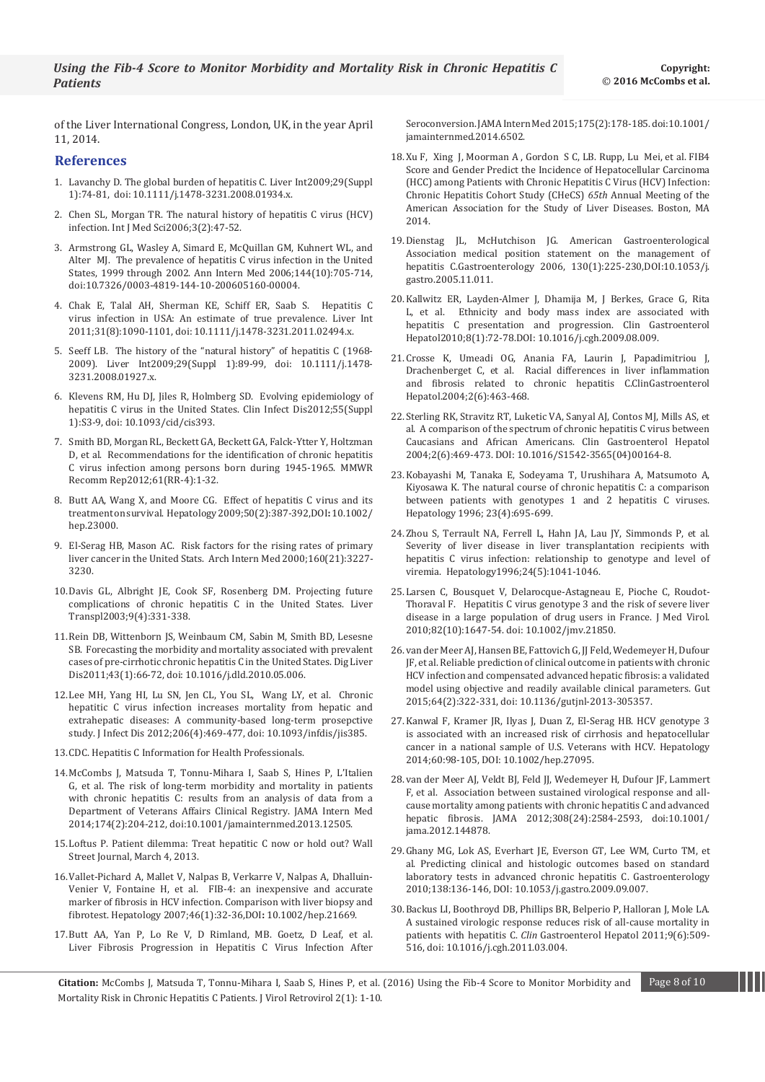of the Liver International Congress, London, UK, in the year April 11, 2014.

#### **References**

- 1. [Lavanchy D. The global burden of hepatitis C. Liver Int2009;29\(Suppl](http://www.ncbi.nlm.nih.gov/pubmed/19207969)  [1\):74-81, doi: 10.1111/j.1478-3231.2008.01934.x.](http://www.ncbi.nlm.nih.gov/pubmed/19207969)
- 2. [Chen SL, Morgan TR. The natural history of hepatitis C virus \(HCV\)](http://www.ncbi.nlm.nih.gov/pmc/articles/PMC1415841/)  [infection. Int J Med Sci2006;3\(2\):47-52.](http://www.ncbi.nlm.nih.gov/pmc/articles/PMC1415841/)
- 3. [Armstrong GL, Wasley A, Simard E, McQuillan GM, Kuhnert WL, and](http://annals.org/article.aspx?articleid=723191)  [Alter MJ. The prevalence of hepatitis C virus infection in the United](http://annals.org/article.aspx?articleid=723191)  [States, 1999 through 2002. Ann Intern Med 2006;144\(10\):705-714,](http://annals.org/article.aspx?articleid=723191)  [doi:10.7326/0003-4819-144-10-200605160-00004.](http://annals.org/article.aspx?articleid=723191)
- 4. [Chak E, Talal AH, Sherman KE, Schiff ER, Saab S. Hepatitis C](http://www.ncbi.nlm.nih.gov/pubmed/21745274)  [virus infection in USA: An estimate of true prevalence. Liver Int](http://www.ncbi.nlm.nih.gov/pubmed/21745274)  [2011;31\(8\):1090-1101, doi: 10.1111/j.1478-3231.2011.02494.x.](http://www.ncbi.nlm.nih.gov/pubmed/21745274)
- 5. [Seeff LB. The history of the "natural history" of hepatitis C \(1968-](http://www.ncbi.nlm.nih.gov/pubmed/19207971) [2009\). Liver Int2009;29\(Suppl 1\):89-99, doi: 10.1111/j.1478-](http://www.ncbi.nlm.nih.gov/pubmed/19207971) [3231.2008.01927.x.](http://www.ncbi.nlm.nih.gov/pubmed/19207971)
- 6. [Klevens RM, Hu DJ, Jiles R, Holmberg SD. Evolving epidemiology of](http://www.ncbi.nlm.nih.gov/pubmed/22715211)  [hepatitis C virus in the United States. Clin Infect Dis2012;55\(Suppl](http://www.ncbi.nlm.nih.gov/pubmed/22715211)  [1\):S3-9, doi: 10.1093/cid/cis393.](http://www.ncbi.nlm.nih.gov/pubmed/22715211)
- 7. [Smith BD, Morgan RL, Beckett GA, Beckett GA, Falck-Ytter Y, Holtzman](http://www.cdc.gov/mmwr/preview/mmwrhtml/rr6104a1.htm)  [D, et al. Recommendations for the identification of chronic hepatitis](http://www.cdc.gov/mmwr/preview/mmwrhtml/rr6104a1.htm)  [C virus infection among persons born during 1945-1965. MMWR](http://www.cdc.gov/mmwr/preview/mmwrhtml/rr6104a1.htm)  [Recomm Rep2012;61\(RR-4\):1-32.](http://www.cdc.gov/mmwr/preview/mmwrhtml/rr6104a1.htm)
- 8. [Butt AA, Wang X, and Moore CG. Effect of hepatitis C virus and its](http://onlinelibrary.wiley.com/doi/10.1002/hep.23000/abstract)  [treatment on survival. Hepatology 2009;50\(2\):387-392,DOI](http://onlinelibrary.wiley.com/doi/10.1002/hep.23000/abstract)**:**10.1002/ [hep.23000.](http://onlinelibrary.wiley.com/doi/10.1002/hep.23000/abstract)
- 9. [El-Serag HB, Mason AC. Risk factors for the rising rates of primary](http://www.ncbi.nlm.nih.gov/pubmed/11088082)  [liver cancer in the United Stats. Arch Intern Med 2000;160\(21\):3227-](http://www.ncbi.nlm.nih.gov/pubmed/11088082) [3230.](http://www.ncbi.nlm.nih.gov/pubmed/11088082)
- 10.[Davis GL, Albright JE, Cook SF, Rosenberg DM. Projecting future](http://www.ncbi.nlm.nih.gov/pubmed/12682882)  [complications of chronic hepatitis C in the United States. Liver](http://www.ncbi.nlm.nih.gov/pubmed/12682882)  [Transpl2003;9\(4\):331-338.](http://www.ncbi.nlm.nih.gov/pubmed/12682882)
- 11.Rein DB, Wittenborn JS, Weinbaum CM, Sabin M, Smith BD, Lesesne SB. Forecasting the morbidity and mortality associated with prevalent cases of pre-cirrhotic chronic hepatitis C in the United States. Dig Liver Dis2011;43(1):66-72, doi: 10.1016/j.dld.2010.05.006.
- 12.[Lee MH, Yang HI, Lu SN, Jen CL, You SL, Wang LY, et al. Chronic](http://www.ncbi.nlm.nih.gov/pubmed/22811301)  [hepatitic C virus infection increases mortality from hepatic and](http://www.ncbi.nlm.nih.gov/pubmed/22811301)  [extrahepatic diseases: A community-based long-term prosepctive](http://www.ncbi.nlm.nih.gov/pubmed/22811301)  [study. J Infect Dis 2012;206\(4\):469-477, doi: 10.1093/infdis/jis385.](http://www.ncbi.nlm.nih.gov/pubmed/22811301)
- 13.[CDC. Hepatitis C Information for Health Professionals.](http://www.cdc.gov/hepatitis/HCV/HCVfaq.htm#section1.)
- 14.[McCombs J, Matsuda T, Tonnu-Mihara I, Saab S, Hines P, L'Italien](http://archinte.jamanetwork.com/article.aspx?articleid=1763967)  [G, et al. The risk of long-term morbidity and mortality in patients](http://archinte.jamanetwork.com/article.aspx?articleid=1763967)  [with chronic hepatitis C: results from an analysis of data from a](http://archinte.jamanetwork.com/article.aspx?articleid=1763967)  [Department of Veterans Affairs Clinical Registry. JAMA Intern Med](http://archinte.jamanetwork.com/article.aspx?articleid=1763967)  [2014;174\(2\):204-212, doi:10.1001/jamainternmed.2013.12505.](http://archinte.jamanetwork.com/article.aspx?articleid=1763967)
- 15.[Loftus P. Patient dilemma: Treat hepatitic C now or hold out? Wall](http://www.wsj.com/articles/SB10001424127887323293704578330712442353712.)  [Street Journal, March 4, 2013.](http://www.wsj.com/articles/SB10001424127887323293704578330712442353712.)
- 16.[Vallet-Pichard A, Mallet V, Nalpas B, Verkarre V, Nalpas A, Dhalluin-](http://onlinelibrary.wiley.com/doi/10.1002/hep.21669/abstract)[Venier V, Fontaine H, et al. FIB-4: an inexpensive and accurate](http://onlinelibrary.wiley.com/doi/10.1002/hep.21669/abstract)  [marker of fibrosis in HCV infection. Comparison with liver biopsy and](http://onlinelibrary.wiley.com/doi/10.1002/hep.21669/abstract)  [fibrotest. Hepatology 2007;46\(1\):32-36,DOI](http://onlinelibrary.wiley.com/doi/10.1002/hep.21669/abstract)**:** 10.1002/hep.21669.
- 17.[Butt AA, Yan P, Lo Re V, D Rimland, MB. Goetz, D Leaf, et al.](http://archinte.jamanetwork.com/article.aspx?articleid=1984248#ArticleInformation)  [Liver Fibrosis Progression in Hepatitis C Virus Infection After](http://archinte.jamanetwork.com/article.aspx?articleid=1984248#ArticleInformation)

[Seroconversion. JAMA Intern Med 2015;175\(2\):178-185. doi:10.1001/](http://archinte.jamanetwork.com/article.aspx?articleid=1984248#ArticleInformation) [jamainternmed.2014.6502.](http://archinte.jamanetwork.com/article.aspx?articleid=1984248#ArticleInformation)

- 18.[Xu F, Xing J, Moorman A , Gordon S C, LB. Rupp, Lu Mei, et al. FIB4](http://www.natap.org/2014/AASLD/AASLD_71.htm)  [Score and Gender Predict the Incidence of Hepatocellular Carcinoma](http://www.natap.org/2014/AASLD/AASLD_71.htm)  [\(HCC\) among Patients with Chronic Hepatitis C Virus \(HCV\) Infection:](http://www.natap.org/2014/AASLD/AASLD_71.htm)  [Chronic Hepatitis Cohort Study \(CHeCS\)](http://www.natap.org/2014/AASLD/AASLD_71.htm) *65th* Annual Meeting of the [American Association for the Study of Liver Diseases. Boston, MA](http://www.natap.org/2014/AASLD/AASLD_71.htm)  [2014.](http://www.natap.org/2014/AASLD/AASLD_71.htm)
- 19.[Dienstag JL, McHutchison JG. American Gastroenterological](http://www.gastrojournal.org/article/S0016-5085(05)02271-7/abstract)  [Association medical position statement on the management of](http://www.gastrojournal.org/article/S0016-5085(05)02271-7/abstract)  [hepatitis C.Gastroenterology 2006, 130\(1\):225-230,DOI:10.1053/j.](http://www.gastrojournal.org/article/S0016-5085(05)02271-7/abstract) [gastro.2005.11.011.](http://www.gastrojournal.org/article/S0016-5085(05)02271-7/abstract)
- 20.[Kallwitz ER, Layden-Almer J, Dhamija M, J Berkes, Grace G, Rita](http://www.cghjournal.org/article/S1542-3565(09)00771-X/fulltext)  [L, et al. Ethnicity and body mass index are associated with](http://www.cghjournal.org/article/S1542-3565(09)00771-X/fulltext)  [hepatitis C presentation and progression. Clin Gastroenterol](http://www.cghjournal.org/article/S1542-3565(09)00771-X/fulltext)  [Hepatol2010;8\(1\):72-78.DOI: 10.1016/j.cgh.2009.08.009.](http://www.cghjournal.org/article/S1542-3565(09)00771-X/fulltext)
- 21.[Crosse K, Umeadi OG, Anania FA, Laurin J, Papadimitriou J,](http://www.ncbi.nlm.nih.gov/pubmed/15181613)  [Drachenberget C, et al. Racial differences in liver inflammation](http://www.ncbi.nlm.nih.gov/pubmed/15181613)  [and fibrosis related to chronic hepatitis C.ClinGastroenterol](http://www.ncbi.nlm.nih.gov/pubmed/15181613)  [Hepatol.2004;2\(6\):463-468.](http://www.ncbi.nlm.nih.gov/pubmed/15181613)
- 22.[Sterling RK, Stravitz RT, Luketic VA, Sanyal AJ, Contos MJ, Mills AS, et](http://www.cghjournal.org/article/S1542-3565(04)00164-8/abstract)  [al. A comparison of the spectrum of chronic hepatitis C virus between](http://www.cghjournal.org/article/S1542-3565(04)00164-8/abstract)  [Caucasians and African Americans. Clin Gastroenterol Hepatol](http://www.cghjournal.org/article/S1542-3565(04)00164-8/abstract)  [2004;2\(6\):469-473. DOI: 10.1016/S1542-3565\(04\)00164-8.](http://www.cghjournal.org/article/S1542-3565(04)00164-8/abstract)
- 23.[Kobayashi M, Tanaka E, Sodeyama T, Urushihara A, Matsumoto A,](http://onlinelibrary.wiley.com/doi/10.1002/hep.510230406/pdf)  [Kiyosawa K. The natural course of chronic hepatitis C: a comparison](http://onlinelibrary.wiley.com/doi/10.1002/hep.510230406/pdf)  [between patients with genotypes 1 and 2 hepatitis C viruses.](http://onlinelibrary.wiley.com/doi/10.1002/hep.510230406/pdf)  [Hepatology 1996; 23\(4\):695-699.](http://onlinelibrary.wiley.com/doi/10.1002/hep.510230406/pdf)
- 24.[Zhou S, Terrault NA, Ferrell L, Hahn JA, Lau JY, Simmonds P, et al.](http://www.ncbi.nlm.nih.gov/pubmed/8903372)  [Severity of liver disease in liver transplantation recipients with](http://www.ncbi.nlm.nih.gov/pubmed/8903372)  [hepatitis C virus infection: relationship to genotype and level of](http://www.ncbi.nlm.nih.gov/pubmed/8903372)  [viremia. Hepatology1996;24\(5\):1041-1046.](http://www.ncbi.nlm.nih.gov/pubmed/8903372)
- 25.[Larsen C, Bousquet V, Delarocque-Astagneau E, Pioche C, Roudot-](http://www.ncbi.nlm.nih.gov/pubmed/20827760)[Thoraval F. Hepatitis C virus genotype 3 and the risk of severe liver](http://www.ncbi.nlm.nih.gov/pubmed/20827760)  [disease in a large population of drug users in France. J Med Virol.](http://www.ncbi.nlm.nih.gov/pubmed/20827760)  [2010;82\(10\):1647-54. doi: 10.1002/jmv.21850.](http://www.ncbi.nlm.nih.gov/pubmed/20827760)
- 26.[van der Meer AJ, Hansen BE, Fattovich G, JJ Feld, Wedemeyer H, Dufour](http://www.ncbi.nlm.nih.gov/pubmed/24815676)  [JF, et al. Reliable prediction of clinical outcome in patients with chronic](http://www.ncbi.nlm.nih.gov/pubmed/24815676)  [HCV infection and compensated advanced hepatic fibrosis: a validated](http://www.ncbi.nlm.nih.gov/pubmed/24815676)  [model using objective and readily available clinical parameters. Gut](http://www.ncbi.nlm.nih.gov/pubmed/24815676)  [2015;64\(2\):322-331, doi: 10.1136/gutjnl-2013-305357.](http://www.ncbi.nlm.nih.gov/pubmed/24815676)
- 27.[Kanwal F, Kramer JR, Ilyas J, Duan Z, El-Serag HB. HCV genotype 3](http://onlinelibrary.wiley.com/doi/10.1002/hep.27095/full)  [is associated with an increased risk of cirrhosis and hepatocellular](http://onlinelibrary.wiley.com/doi/10.1002/hep.27095/full)  [cancer in a national sample of U.S. Veterans with HCV. Hepatology](http://onlinelibrary.wiley.com/doi/10.1002/hep.27095/full)  [2014;60:98-105, DOI: 10.1002/hep.27095.](http://onlinelibrary.wiley.com/doi/10.1002/hep.27095/full)
- 28.[van der Meer AJ, Veldt BJ, Feld JJ, Wedemeyer H, Dufour JF, Lammert](http://jama.jamanetwork.com/article.aspx?articleid=1487498)  [F, et al. Association between sustained virological response and all](http://jama.jamanetwork.com/article.aspx?articleid=1487498)[cause mortality among patients with chronic hepatitis C and advanced](http://jama.jamanetwork.com/article.aspx?articleid=1487498)  [hepatic fibrosis. JAMA 2012;308\(24\):2584-2593, doi:10.1001/](http://jama.jamanetwork.com/article.aspx?articleid=1487498) [jama.2012.144878.](http://jama.jamanetwork.com/article.aspx?articleid=1487498)
- 29.[Ghany MG, Lok AS, Everhart JE, Everson GT, Lee WM, Curto TM, et](http://www.gastrojournal.org/article/S0016-5085(09)01599-6/fulltext)  [al. Predicting clinical and histologic outcomes based on standard](http://www.gastrojournal.org/article/S0016-5085(09)01599-6/fulltext)  [laboratory tests in advanced chronic hepatitis C. Gastroenterology](http://www.gastrojournal.org/article/S0016-5085(09)01599-6/fulltext)  [2010;138:136-146, DOI: 10.1053/j.gastro.2009.09.007.](http://www.gastrojournal.org/article/S0016-5085(09)01599-6/fulltext)
- 30.[Backus LI, Boothroyd DB, Phillips BR, Belperio P, Halloran J, Mole LA.](http://www.ncbi.nlm.nih.gov/pubmed/21397729)  [A sustained virologic response reduces risk of all-cause mortality in](http://www.ncbi.nlm.nih.gov/pubmed/21397729)  patients with hepatitis C. *Clin* [Gastroenterol Hepatol 2011;9\(6\):509-](http://www.ncbi.nlm.nih.gov/pubmed/21397729) [516, doi: 10.1016/j.cgh.2011.03.004.](http://www.ncbi.nlm.nih.gov/pubmed/21397729)

**Citation:** McCombs J, Matsuda T, Tonnu-Mihara I, Saab S, Hines P, et al. (2016) Using the Fib-4 Score to Monitor Morbidity and Page 8 of 10 Mortality Risk in Chronic Hepatitis C Patients. J Virol Retrovirol 2(1): 1-10.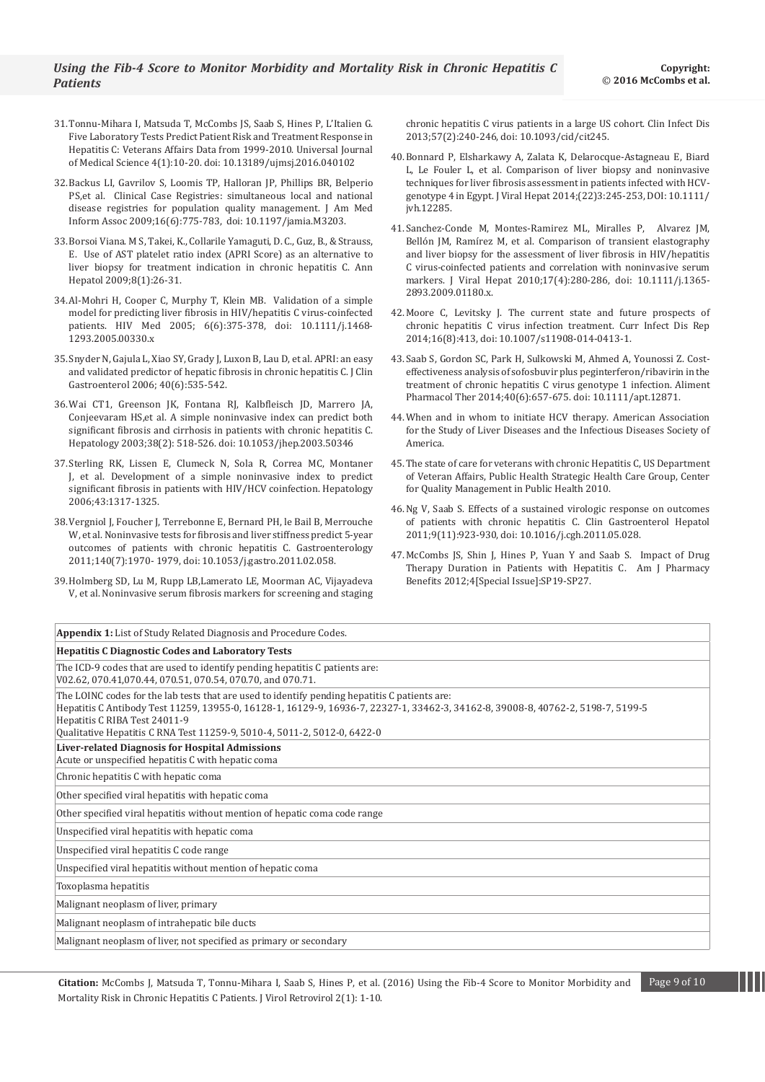- 31.[Tonnu-Mihara I, Matsuda T, McCombs JS, Saab S, Hines P, L'Italien G.](http://www.hrpub.org/download/20151231/UJMSJ2-17504955.pdf)  [Five Laboratory Tests Predict Patient Risk and Treatment Response in](http://www.hrpub.org/download/20151231/UJMSJ2-17504955.pdf)  [Hepatitis C: Veterans Affairs Data from 1999-2010. Universal Journal](http://www.hrpub.org/download/20151231/UJMSJ2-17504955.pdf)  [of Medical Science 4\(1\):10-20. doi: 10.13189/ujmsj.2016.040102](http://www.hrpub.org/download/20151231/UJMSJ2-17504955.pdf)
- 32.[Backus LI, Gavrilov S, Loomis TP, Halloran JP, Phillips BR, Belperio](http://www.ncbi.nlm.nih.gov/pubmed/19717794)  [PS,et al. Clinical Case Registries: simultaneous local and national](http://www.ncbi.nlm.nih.gov/pubmed/19717794)  [disease registries for population quality management. J Am Med](http://www.ncbi.nlm.nih.gov/pubmed/19717794)  [Inform Assoc 2009;16\(6\):775-783, doi: 10.1197/jamia.M3203.](http://www.ncbi.nlm.nih.gov/pubmed/19717794)
- 33.[Borsoi Viana. M S, Takei, K., Collarile Yamaguti, D. C., Guz, B., & Strauss,](http://www.ncbi.nlm.nih.gov/pubmed/19221530)  [E. Use of AST platelet ratio index \(APRI Score\) as an alternative to](http://www.ncbi.nlm.nih.gov/pubmed/19221530)  [liver biopsy for treatment indication in chronic hepatitis C. Ann](http://www.ncbi.nlm.nih.gov/pubmed/19221530)  [Hepatol 2009;8\(1\):26-31.](http://www.ncbi.nlm.nih.gov/pubmed/19221530)
- 34.[Al-Mohri H, Cooper C, Murphy T, Klein MB. Validation of a simple](http://www.ncbi.nlm.nih.gov/pubmed/16268817)  [model for predicting liver fibrosis in HIV/hepatitis C virus-coinfected](http://www.ncbi.nlm.nih.gov/pubmed/16268817)  patients. HIV Med [2005; 6\(6\):375-378, doi: 10.1111/j.1468-](http://www.ncbi.nlm.nih.gov/pubmed/16268817) [1293.2005.00330.x](http://www.ncbi.nlm.nih.gov/pubmed/16268817)
- 35.[Snyder N, Gajula L, Xiao SY, Grady J, Luxon B, Lau D, et al. APRI: an easy](http://www.ncbi.nlm.nih.gov/pubmed/16825937)  [and validated predictor of hepatic fibrosis in chronic hepatitis C. J Clin](http://www.ncbi.nlm.nih.gov/pubmed/16825937)  [Gastroenterol 2006;](http://www.ncbi.nlm.nih.gov/pubmed/16825937) 40(6):535-542.
- 36.[Wai CT1, Greenson JK, Fontana RJ, Kalbfleisch JD, Marrero JA,](http://www.ncbi.nlm.nih.gov/pubmed/12883497)  [Conjeevaram HS,et al. A simple noninvasive index can predict both](http://www.ncbi.nlm.nih.gov/pubmed/12883497)  [significant fibrosis and cirrhosis in patients with chronic hepatitis C.](http://www.ncbi.nlm.nih.gov/pubmed/12883497)  [Hepatology 2003;38\(2\): 518-526. doi: 10.1053/jhep.2003.50346](http://www.ncbi.nlm.nih.gov/pubmed/12883497)
- 37.[Sterling RK, Lissen E, Clumeck N, Sola R, Correa MC, Montaner](http://www.ncbi.nlm.nih.gov/pubmed/16729309)  [J, et al. Development of a simple noninvasive index to predict](http://www.ncbi.nlm.nih.gov/pubmed/16729309)  [significant fibrosis in patients with HIV/HCV coinfection. Hepatology](http://www.ncbi.nlm.nih.gov/pubmed/16729309)  [2006;43:1317-1325.](http://www.ncbi.nlm.nih.gov/pubmed/16729309)
- 38.[Vergniol J, Foucher J, Terrebonne E, Bernard PH, le Bail B, Merrouche](http://www.ncbi.nlm.nih.gov/pubmed/21376047)  [W, et al. Noninvasive tests for fibrosis and liver stiffness predict 5-year](http://www.ncbi.nlm.nih.gov/pubmed/21376047)  [outcomes of patients with chronic hepatitis C. Gastroenterology](http://www.ncbi.nlm.nih.gov/pubmed/21376047)  [2011;140\(7\):1970- 1979, doi: 10.1053/j.gastro.2011.02.058.](http://www.ncbi.nlm.nih.gov/pubmed/21376047)
- 39.[Holmberg SD, Lu M, Rupp LB,Lamerato LE, Moorman AC, Vijayadeva](http://www.ncbi.nlm.nih.gov/pubmed/23592832)  [V, et al. Noninvasive serum fibrosis markers for screening and staging](http://www.ncbi.nlm.nih.gov/pubmed/23592832)

[chronic hepatitis C virus patients in a large US cohort. Clin Infect Dis](http://www.ncbi.nlm.nih.gov/pubmed/23592832)  [2013;57\(2\):240-246, doi: 10.1093/cid/cit245.](http://www.ncbi.nlm.nih.gov/pubmed/23592832)

- 40.[Bonnard P, Elsharkawy A, Zalata K, Delarocque-Astagneau E, Biard](http://onlinelibrary.wiley.com/doi/10.1111/jvh.12285/full)  [L, Le Fouler L, et al. Comparison of liver biopsy and noninvasive](http://onlinelibrary.wiley.com/doi/10.1111/jvh.12285/full)  [techniques for liver fibrosis assessment in patients infected with HCV](http://onlinelibrary.wiley.com/doi/10.1111/jvh.12285/full)[genotype 4 in Egypt. J Viral Hepat 2014;\(22\)3:245-253, DOI:](http://onlinelibrary.wiley.com/doi/10.1111/jvh.12285/full) 10.1111/ [jvh.12285.](http://onlinelibrary.wiley.com/doi/10.1111/jvh.12285/full)
- 41.[Sanchez-Conde M, Montes-Ramirez ML, Miralles P, Alvarez JM,](http://www.ncbi.nlm.nih.gov/pubmed/19732322)  [Bellón JM, Ramírez M, et al. Comparison of transient elastography](http://www.ncbi.nlm.nih.gov/pubmed/19732322)  [and liver biopsy for the assessment of liver fibrosis in HIV/hepatitis](http://www.ncbi.nlm.nih.gov/pubmed/19732322)  [C virus-coinfected patients and correlation with noninvasive serum](http://www.ncbi.nlm.nih.gov/pubmed/19732322)  [markers. J Viral Hepat 2010;17\(4\):280-286, doi: 10.1111/j.1365-](http://www.ncbi.nlm.nih.gov/pubmed/19732322) [2893.2009.01180.x.](http://www.ncbi.nlm.nih.gov/pubmed/19732322)
- 42.[Moore C, Levitsky J. The current state and future prospects of](http://www.ncbi.nlm.nih.gov/pubmed/24893980)  [chronic hepatitis C virus infection treatment. Curr Infect Dis Rep](http://www.ncbi.nlm.nih.gov/pubmed/24893980)  [2014;16\(8\):413, doi: 10.1007/s11908-014-0413-1.](http://www.ncbi.nlm.nih.gov/pubmed/24893980)
- 43.[Saab S, Gordon SC, Park H, Sulkowski M, Ahmed A, Younossi Z. Cost](http://www.ncbi.nlm.nih.gov/pubmed/25065960)[effectiveness analysis of sofosbuvir plus peginterferon/ribavirin in the](http://www.ncbi.nlm.nih.gov/pubmed/25065960)  [treatment of chronic hepatitis C virus genotype 1 infection. Aliment](http://www.ncbi.nlm.nih.gov/pubmed/25065960)  [Pharmacol Ther 2014;40\(6\):657-675. doi: 10.1111/apt.12871.](http://www.ncbi.nlm.nih.gov/pubmed/25065960)
- 44.[When and in whom to initiate HCV therapy. American Association](http://www.hcvguidelines.org/full-report/when-and-whom-initiate-hcv-therapy)  [for the Study of Liver Diseases and the Infectious Diseases Society of](http://www.hcvguidelines.org/full-report/when-and-whom-initiate-hcv-therapy)  [America.](http://www.hcvguidelines.org/full-report/when-and-whom-initiate-hcv-therapy)
- 45.[The state of care for veterans with chronic Hepatitis C, US Department](http://www.hepatitis.va.gov/pdf/hcv-state-of-care-2010.pdf)  [of Veteran Affairs, Public Health Strategic Health Care Group, Center](http://www.hepatitis.va.gov/pdf/hcv-state-of-care-2010.pdf)  [for Quality Management in Public Health 2010.](http://www.hepatitis.va.gov/pdf/hcv-state-of-care-2010.pdf)
- 46.[Ng V, Saab S. Effects of a sustained virologic response on outcomes](http://www.ncbi.nlm.nih.gov/pubmed/21699815)  [of patients with chronic hepatitis C. Clin Gastroenterol Hepatol](http://www.ncbi.nlm.nih.gov/pubmed/21699815)  [2011;9\(11\):923-930, doi: 10.1016/j.cgh.2011.05.028.](http://www.ncbi.nlm.nih.gov/pubmed/21699815)
- 47.McCombs JS, Shin J, Hines P, Yuan Y and Saab S. Impact of Drug Therapy Duration in Patients with Hepatitis C. Am J Pharmacy Benefits 2012;4[Special Issue]:SP19-SP27.

| <b>Appendix 1:</b> List of Study Related Diagnosis and Procedure Codes.                                                                                                                                                                                                                                                                        |
|------------------------------------------------------------------------------------------------------------------------------------------------------------------------------------------------------------------------------------------------------------------------------------------------------------------------------------------------|
| <b>Hepatitis C Diagnostic Codes and Laboratory Tests</b>                                                                                                                                                                                                                                                                                       |
| The ICD-9 codes that are used to identify pending hepatitis C patients are:<br>V02.62, 070.41,070.44, 070.51, 070.54, 070.70, and 070.71.                                                                                                                                                                                                      |
| The LOINC codes for the lab tests that are used to identify pending hepatitis C patients are:<br>Hepatitis C Antibody Test 11259, 13955-0, 16128-1, 16129-9, 16936-7, 22327-1, 33462-3, 34162-8, 39008-8, 40762-2, 5198-7, 5199-5<br>Hepatitis C RIBA Test 24011-9<br>Qualitative Hepatitis C RNA Test 11259-9, 5010-4, 5011-2, 5012-0, 6422-0 |
| Liver-related Diagnosis for Hospital Admissions<br>Acute or unspecified hepatitis C with hepatic coma                                                                                                                                                                                                                                          |
| Chronic hepatitis C with hepatic coma                                                                                                                                                                                                                                                                                                          |
| Other specified viral hepatitis with hepatic coma                                                                                                                                                                                                                                                                                              |
| Other specified viral hepatitis without mention of hepatic coma code range                                                                                                                                                                                                                                                                     |
| Unspecified viral hepatitis with hepatic coma                                                                                                                                                                                                                                                                                                  |
| Unspecified viral hepatitis C code range                                                                                                                                                                                                                                                                                                       |
| Unspecified viral hepatitis without mention of hepatic coma                                                                                                                                                                                                                                                                                    |
| Toxoplasma hepatitis                                                                                                                                                                                                                                                                                                                           |
| Malignant neoplasm of liver, primary                                                                                                                                                                                                                                                                                                           |
| Malignant neoplasm of intrahepatic bile ducts                                                                                                                                                                                                                                                                                                  |
| Malignant neoplasm of liver, not specified as primary or secondary                                                                                                                                                                                                                                                                             |

**Citation:** McCombs J, Matsuda T, Tonnu-Mihara I, Saab S, Hines P, et al. (2016) Using the Fib-4 Score to Monitor Morbidity and Page 9 of 10 Mortality Risk in Chronic Hepatitis C Patients. J Virol Retrovirol 2(1): 1-10.